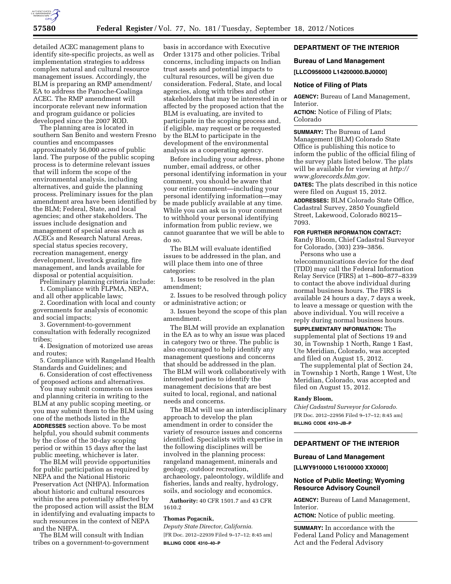

detailed ACEC management plans to identify site-specific projects, as well as implementation strategies to address complex natural and cultural resource management issues. Accordingly, the BLM is preparing an RMP amendment/ EA to address the Panoche-Coalinga ACEC. The RMP amendment will incorporate relevant new information and program guidance or policies developed since the 2007 ROD.

The planning area is located in southern San Benito and western Fresno counties and encompasses approximately 56,000 acres of public land. The purpose of the public scoping process is to determine relevant issues that will inform the scope of the environmental analysis, including alternatives, and guide the planning process. Preliminary issues for the plan amendment area have been identified by the BLM; Federal, State, and local agencies; and other stakeholders. The issues include designation and management of special areas such as ACECs and Research Natural Areas, special status species recovery, recreation management, energy development, livestock grazing, fire management, and lands available for disposal or potential acquisition.

Preliminary planning criteria include: 1. Compliance with FLPMA, NEPA, and all other applicable laws;

2. Coordination with local and county governments for analysis of economic and social impacts;

3. Government-to-government consultation with federally recognized tribes;

4. Designation of motorized use areas and routes;

5. Compliance with Rangeland Health Standards and Guidelines; and

6. Consideration of cost effectiveness of proposed actions and alternatives.

You may submit comments on issues and planning criteria in writing to the BLM at any public scoping meeting, or you may submit them to the BLM using one of the methods listed in the **ADDRESSES** section above. To be most helpful, you should submit comments by the close of the 30-day scoping period or within 15 days after the last public meeting, whichever is later.

The BLM will provide opportunities for public participation as required by NEPA and the National Historic Preservation Act (NHPA). Information about historic and cultural resources within the area potentially affected by the proposed action will assist the BLM in identifying and evaluating impacts to such resources in the context of NEPA and the NHPA.

The BLM will consult with Indian tribes on a government-to-government

basis in accordance with Executive Order 13175 and other policies. Tribal concerns, including impacts on Indian trust assets and potential impacts to cultural resources, will be given due consideration. Federal, State, and local agencies, along with tribes and other stakeholders that may be interested in or affected by the proposed action that the BLM is evaluating, are invited to participate in the scoping process and, if eligible, may request or be requested by the BLM to participate in the development of the environmental analysis as a cooperating agency.

Before including your address, phone number, email address, or other personal identifying information in your comment, you should be aware that your entire comment—including your personal identifying information—may be made publicly available at any time. While you can ask us in your comment to withhold your personal identifying information from public review, we cannot guarantee that we will be able to do so.

The BLM will evaluate identified issues to be addressed in the plan, and will place them into one of three categories:

1. Issues to be resolved in the plan amendment;

2. Issues to be resolved through policy or administrative action; or

3. Issues beyond the scope of this plan amendment.

The BLM will provide an explanation in the EA as to why an issue was placed in category two or three. The public is also encouraged to help identify any management questions and concerns that should be addressed in the plan. The BLM will work collaboratively with interested parties to identify the management decisions that are best suited to local, regional, and national needs and concerns.

The BLM will use an interdisciplinary approach to develop the plan amendment in order to consider the variety of resource issues and concerns identified. Specialists with expertise in the following disciplines will be involved in the planning process: rangeland management, minerals and geology, outdoor recreation, archaeology, paleontology, wildlife and fisheries, lands and realty, hydrology, soils, and sociology and economics.

**Authority:** 40 CFR 1501.7 and 43 CFR 1610.2

# **Thomas Pogacnik,**

*Deputy State Director, California.*  [FR Doc. 2012–22939 Filed 9–17–12; 8:45 am] **BILLING CODE 4310–40–P** 

# **DEPARTMENT OF THE INTERIOR**

## **Bureau of Land Management**

**[LLCO956000 L14200000.BJ0000]** 

### **Notice of Filing of Plats**

**AGENCY:** Bureau of Land Management, Interior.

**ACTION:** Notice of Filing of Plats; Colorado

**SUMMARY:** The Bureau of Land Management (BLM) Colorado State Office is publishing this notice to inform the public of the official filing of the survey plats listed below. The plats will be available for viewing at *[http://](http://www.glorecords.blm.gov) [www.glorecords.blm.gov.](http://www.glorecords.blm.gov)* 

**DATES:** The plats described in this notice were filed on August 15, 2012.

**ADDRESSES:** BLM Colorado State Office, Cadastral Survey, 2850 Youngfield Street, Lakewood, Colorado 80215– 7093.

#### **FOR FURTHER INFORMATION CONTACT:**

Randy Bloom, Chief Cadastral Surveyor for Colorado, (303) 239–3856. Persons who use a

telecommunications device for the deaf (TDD) may call the Federal Information Relay Service (FIRS) at 1–800–877–8339 to contact the above individual during normal business hours. The FIRS is available 24 hours a day, 7 days a week, to leave a message or question with the above individual. You will receive a reply during normal business hours.

**SUPPLEMENTARY INFORMATION:** The supplemental plat of Sections 19 and 30, in Township 1 North, Range 1 East, Ute Meridian, Colorado, was accepted and filed on August 15, 2012.

The supplemental plat of Section 24, in Township 1 North, Range 1 West, Ute Meridian, Colorado, was accepted and filed on August 15, 2012.

#### **Randy Bloom,**

*Chief Cadastral Surveyor for Colorado.*  [FR Doc. 2012–22956 Filed 9–17–12; 8:45 am] **BILLING CODE 4310–JB–P** 

### **DEPARTMENT OF THE INTERIOR**

### **Bureau of Land Management**

**[LLWY910000 L16100000 XX0000]** 

### **Notice of Public Meeting; Wyoming Resource Advisory Council**

**AGENCY:** Bureau of Land Management, Interior.

**ACTION:** Notice of public meeting.

**SUMMARY:** In accordance with the Federal Land Policy and Management Act and the Federal Advisory